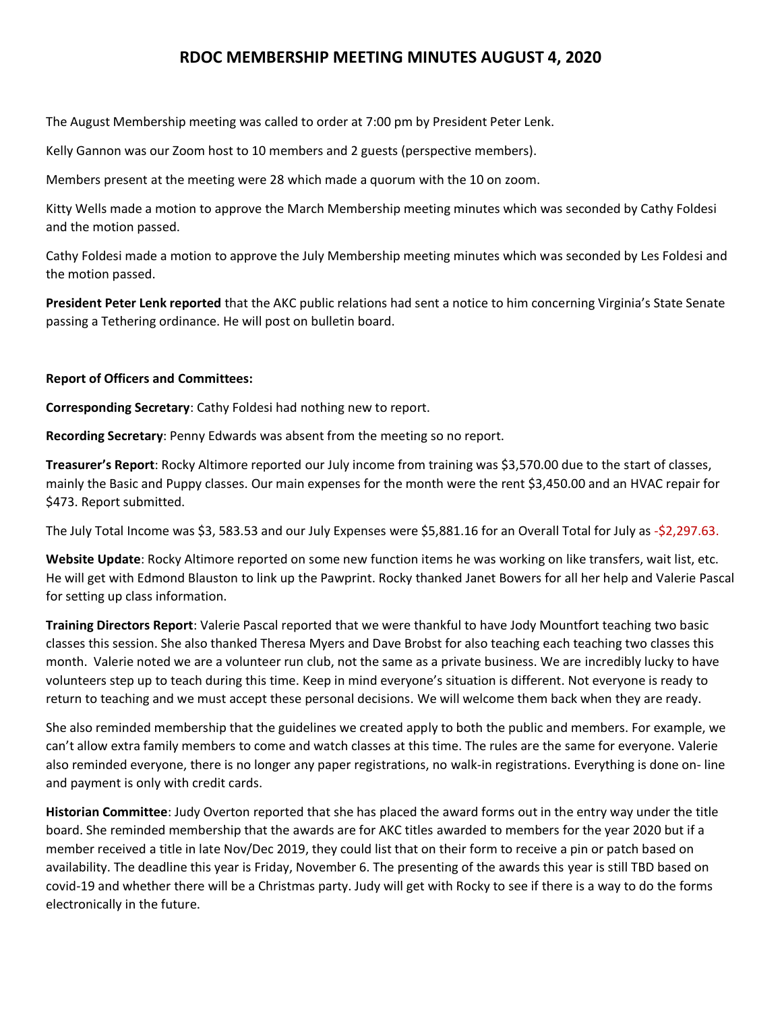## **RDOC MEMBERSHIP MEETING MINUTES AUGUST 4, 2020**

The August Membership meeting was called to order at 7:00 pm by President Peter Lenk.

Kelly Gannon was our Zoom host to 10 members and 2 guests (perspective members).

Members present at the meeting were 28 which made a quorum with the 10 on zoom.

Kitty Wells made a motion to approve the March Membership meeting minutes which was seconded by Cathy Foldesi and the motion passed.

Cathy Foldesi made a motion to approve the July Membership meeting minutes which was seconded by Les Foldesi and the motion passed.

**President Peter Lenk reported** that the AKC public relations had sent a notice to him concerning Virginia's State Senate passing a Tethering ordinance. He will post on bulletin board.

## **Report of Officers and Committees:**

**Corresponding Secretary**: Cathy Foldesi had nothing new to report.

**Recording Secretary**: Penny Edwards was absent from the meeting so no report.

**Treasurer's Report**: Rocky Altimore reported our July income from training was \$3,570.00 due to the start of classes, mainly the Basic and Puppy classes. Our main expenses for the month were the rent \$3,450.00 and an HVAC repair for \$473. Report submitted.

The July Total Income was \$3, 583.53 and our July Expenses were \$5,881.16 for an Overall Total for July as -\$2,297.63.

**Website Update**: Rocky Altimore reported on some new function items he was working on like transfers, wait list, etc. He will get with Edmond Blauston to link up the Pawprint. Rocky thanked Janet Bowers for all her help and Valerie Pascal for setting up class information.

**Training Directors Report**: Valerie Pascal reported that we were thankful to have Jody Mountfort teaching two basic classes this session. She also thanked Theresa Myers and Dave Brobst for also teaching each teaching two classes this month. Valerie noted we are a volunteer run club, not the same as a private business. We are incredibly lucky to have volunteers step up to teach during this time. Keep in mind everyone's situation is different. Not everyone is ready to return to teaching and we must accept these personal decisions. We will welcome them back when they are ready.

She also reminded membership that the guidelines we created apply to both the public and members. For example, we can't allow extra family members to come and watch classes at this time. The rules are the same for everyone. Valerie also reminded everyone, there is no longer any paper registrations, no walk-in registrations. Everything is done on- line and payment is only with credit cards.

**Historian Committee**: Judy Overton reported that she has placed the award forms out in the entry way under the title board. She reminded membership that the awards are for AKC titles awarded to members for the year 2020 but if a member received a title in late Nov/Dec 2019, they could list that on their form to receive a pin or patch based on availability. The deadline this year is Friday, November 6. The presenting of the awards this year is still TBD based on covid-19 and whether there will be a Christmas party. Judy will get with Rocky to see if there is a way to do the forms electronically in the future.